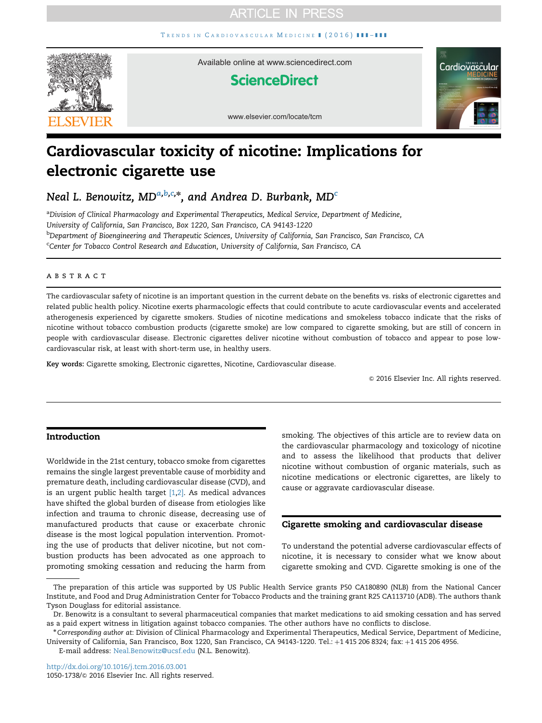# **ARTICLE IN PRESS**

TRENDS IN C[ARDIOVASCULAR](http://dx.doi.org/10.1016/j.tcm.2016.03.001) MEDICINE | (2016) | | | | | | | |



Available online at www.sciencedirect.com

# **ScienceDirect**



www.elsevier.com/locate/tcm

# Cardiovascular toxicity of nicotine: Implications for electronic cigarette use

Neal L. Benowitz, MD $^{a,b,c,\ast},$  and Andrea D. Burbank, MD $^c$ 

a Division of Clinical Pharmacology and Experimental Therapeutics, Medical Service, Department of Medicine, University of California, San Francisco, Box 1220, San Francisco, CA 94143-1220 b Department of Bioengineering and Therapeutic Sciences, University of California, San Francisco, San Francisco, CA <sup>c</sup>Center for Tobacco Control Research and Education, University of California, San Francisco, CA

## **ABSTRACT**

The cardiovascular safety of nicotine is an important question in the current debate on the benefits vs. risks of electronic cigarettes and related public health policy. Nicotine exerts pharmacologic effects that could contribute to acute cardiovascular events and accelerated atherogenesis experienced by cigarette smokers. Studies of nicotine medications and smokeless tobacco indicate that the risks of nicotine without tobacco combustion products (cigarette smoke) are low compared to cigarette smoking, but are still of concern in people with cardiovascular disease. Electronic cigarettes deliver nicotine without combustion of tobacco and appear to pose lowcardiovascular risk, at least with short-term use, in healthy users.

Key words: Cigarette smoking, Electronic cigarettes, Nicotine, Cardiovascular disease.

 $© 2016 Elsevier Inc. All rights reserved.$ 

# Introduction

Worldwide in the 21st century, tobacco smoke from cigarettes remains the single largest preventable cause of morbidity and premature death, including cardiovascular disease (CVD), and is an urgent public health target [\[1,2\]](#page-7-0). As medical advances have shifted the global burden of disease from etiologies like infection and trauma to chronic disease, decreasing use of manufactured products that cause or exacerbate chronic disease is the most logical population intervention. Promoting the use of products that deliver nicotine, but not combustion products has been advocated as one approach to promoting smoking cessation and reducing the harm from

smoking. The objectives of this article are to review data on the cardiovascular pharmacology and toxicology of nicotine and to assess the likelihood that products that deliver nicotine without combustion of organic materials, such as nicotine medications or electronic cigarettes, are likely to cause or aggravate cardiovascular disease.

# Cigarette smoking and cardiovascular disease

To understand the potential adverse cardiovascular effects of nicotine, it is necessary to consider what we know about cigarette smoking and CVD. Cigarette smoking is one of the

The preparation of this article was supported by US Public Health Service grants P50 CA180890 (NLB) from the National Cancer Institute, and Food and Drug Administration Center for Tobacco Products and the training grant R25 CA113710 (ADB). The authors thank Tyson Douglass for editorial assistance.

Dr. Benowitz is a consultant to several pharmaceutical companies that market medications to aid smoking cessation and has served as a paid expert witness in litigation against tobacco companies. The other authors have no conflicts to disclose.

 $*$ Corresponding author at: Division of Clinical Pharmacology and Experimental Therapeutics, Medical Service, Department of Medicine, University of California, San Francisco, Box 1220, San Francisco, CA 94143-1220. Tel.: +1 415 206 8324; fax: +1 415 206 4956.

E-mail address: [Neal.Benowitz@ucsf.edu](mailto:Neal.Benowitz@ucsf.edu) (N.L. Benowitz).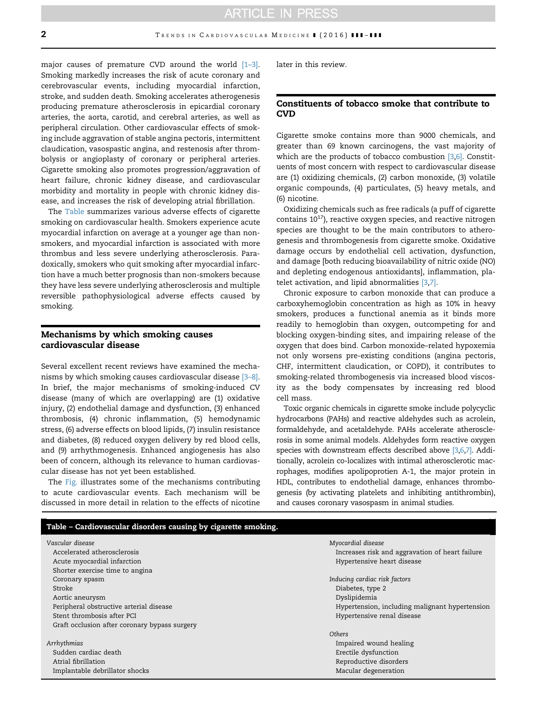major causes of premature CVD around the world  $[1-3]$ . Smoking markedly increases the risk of acute coronary and cerebrovascular events, including myocardial infarction, stroke, and sudden death. Smoking accelerates atherogenesis producing premature atherosclerosis in epicardial coronary arteries, the aorta, carotid, and cerebral arteries, as well as peripheral circulation. Other cardiovascular effects of smoking include aggravation of stable angina pectoris, intermittent claudication, vasospastic angina, and restenosis after thrombolysis or angioplasty of coronary or peripheral arteries. Cigarette smoking also promotes progression/aggravation of heart failure, chronic kidney disease, and cardiovascular morbidity and mortality in people with chronic kidney disease, and increases the risk of developing atrial fibrillation.

The Table summarizes various adverse effects of cigarette smoking on cardiovascular health. Smokers experience acute myocardial infarction on average at a younger age than nonsmokers, and myocardial infarction is associated with more thrombus and less severe underlying atherosclerosis. Paradoxically, smokers who quit smoking after myocardial infarction have a much better prognosis than non-smokers because they have less severe underlying atherosclerosis and multiple reversible pathophysiological adverse effects caused by smoking.

# Mechanisms by which smoking causes cardiovascular disease

Several excellent recent reviews have examined the mechanisms by which smoking causes cardiovascular disease [3–[8\].](#page-7-0) In brief, the major mechanisms of smoking-induced CV disease (many of which are overlapping) are (1) oxidative injury, (2) endothelial damage and dysfunction, (3) enhanced thrombosis, (4) chronic inflammation, (5) hemodynamic stress, (6) adverse effects on blood lipids, (7) insulin resistance and diabetes, (8) reduced oxygen delivery by red blood cells, and (9) arrhythmogenesis. Enhanced angiogenesis has also been of concern, although its relevance to human cardiovascular disease has not yet been established.

The [Fig.](#page-2-0) illustrates some of the mechanisms contributing to acute cardiovascular events. Each mechanism will be discussed in more detail in relation to the effects of nicotine

later in this review.

## Constituents of tobacco smoke that contribute to **CVD**

Cigarette smoke contains more than 9000 chemicals, and greater than 69 known carcinogens, the vast majority of which are the products of tobacco combustion  $[3,6]$ . Constituents of most concern with respect to cardiovascular disease are (1) oxidizing chemicals, (2) carbon monoxide, (3) volatile organic compounds, (4) particulates, (5) heavy metals, and (6) nicotine.

Oxidizing chemicals such as free radicals (a puff of cigarette contains  $10^{17}$ ), reactive oxygen species, and reactive nitrogen species are thought to be the main contributors to atherogenesis and thrombogenesis from cigarette smoke. Oxidative damage occurs by endothelial cell activation, dysfunction, and damage [both reducing bioavailability of nitric oxide (NO) and depleting endogenous antioxidants], inflammation, pla-telet activation, and lipid abnormalities [\[3,7\].](#page-7-0)

Chronic exposure to carbon monoxide that can produce a carboxyhemoglobin concentration as high as 10% in heavy smokers, produces a functional anemia as it binds more readily to hemoglobin than oxygen, outcompeting for and blocking oxygen-binding sites, and impairing release of the oxygen that does bind. Carbon monoxide–related hypoxemia not only worsens pre-existing conditions (angina pectoris, CHF, intermittent claudication, or COPD), it contributes to smoking-related thrombogenesis via increased blood viscosity as the body compensates by increasing red blood cell mass.

Toxic organic chemicals in cigarette smoke include polycyclic hydrocarbons (PAHs) and reactive aldehydes such as acrolein, formaldehyde, and acetaldehyde. PAHs accelerate atherosclerosis in some animal models. Aldehydes form reactive oxygen species with downstream effects described above [\[3,6,7\]](#page-7-0). Additionally, acrolein co-localizes with intimal atherosclerotic macrophages, modifies apolipoprotien A-1, the major protein in HDL, contributes to endothelial damage, enhances thrombogenesis (by activating platelets and inhibiting antithrombin), and causes coronary vasospasm in animal studies.

| Table - Cardiovascular disorders causing by cigarette smoking. |                                                 |
|----------------------------------------------------------------|-------------------------------------------------|
| Vascular disease                                               | Myocardial disease                              |
| Accelerated atherosclerosis                                    | Increases risk and aggravation of heart failure |
| Acute myocardial infarction                                    | Hypertensive heart disease                      |
| Shorter exercise time to angina                                |                                                 |
| Coronary spasm                                                 | Inducing cardiac risk factors                   |
| Stroke                                                         | Diabetes, type 2                                |
| Aortic aneurysm                                                | Dyslipidemia                                    |
| Peripheral obstructive arterial disease                        | Hypertension, including malignant hypertension  |
| Stent thrombosis after PCI                                     | Hypertensive renal disease                      |
| Graft occlusion after coronary bypass surgery                  |                                                 |
|                                                                | <b>Others</b>                                   |
| Arrhythmias                                                    | Impaired wound healing                          |
| Sudden cardiac death                                           | Erectile dysfunction                            |
| Atrial fibrillation                                            | Reproductive disorders                          |
| Implantable debrillator shocks                                 | Macular degeneration                            |
|                                                                |                                                 |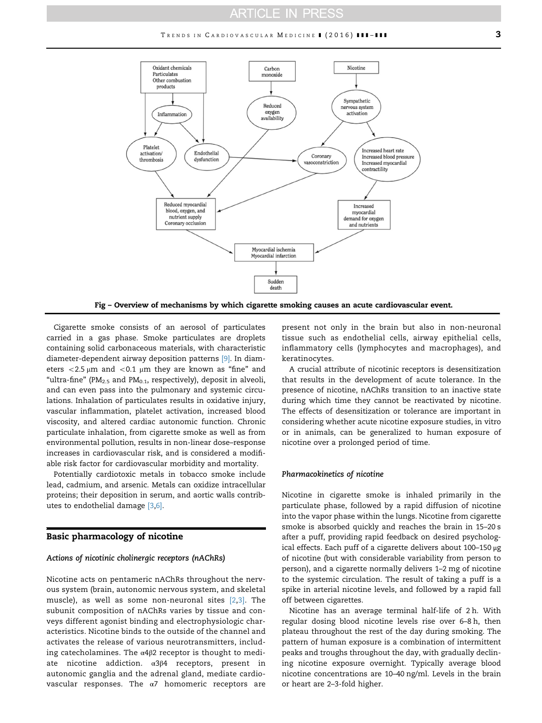# **ARTICLE IN PRESS**

<span id="page-2-0"></span>

Fig – Overview of mechanisms by which cigarette smoking causes an acute cardiovascular event.

Cigarette smoke consists of an aerosol of particulates carried in a gas phase. Smoke particulates are droplets containing solid carbonaceous materials, with characteristic diameter-dependent airway deposition patterns [\[9\]](#page-7-0). In diameters  $<$  2.5  $\mu$ m and  $<$  0.1  $\mu$ m they are known as "fine" and "ultra-fine" (PM $_{2.5}$  and PM $_{0.1}$ , respectively), deposit in alveoli, and can even pass into the pulmonary and systemic circulations. Inhalation of particulates results in oxidative injury, vascular inflammation, platelet activation, increased blood viscosity, and altered cardiac autonomic function. Chronic particulate inhalation, from cigarette smoke as well as from environmental pollution, results in non-linear dose–response increases in cardiovascular risk, and is considered a modifiable risk factor for cardiovascular morbidity and mortality.

Potentially cardiotoxic metals in tobacco smoke include lead, cadmium, and arsenic. Metals can oxidize intracellular proteins; their deposition in serum, and aortic walls contributes to endothelial damage [\[3,6\].](#page-7-0)

#### Basic pharmacology of nicotine

#### Actions of nicotinic cholinergic receptors (nAChRs)

Nicotine acts on pentameric nAChRs throughout the nervous system (brain, autonomic nervous system, and skeletal muscle), as well as some non-neuronal sites [\[2,3\]](#page-7-0). The subunit composition of nAChRs varies by tissue and conveys different agonist binding and electrophysiologic characteristics. Nicotine binds to the outside of the channel and activates the release of various neurotransmitters, including catecholamines. The α4β2 receptor is thought to mediate nicotine addiction. α3β4 receptors, present in autonomic ganglia and the adrenal gland, mediate cardiovascular responses. The  $\alpha$ 7 homomeric receptors are

present not only in the brain but also in non-neuronal tissue such as endothelial cells, airway epithelial cells, inflammatory cells (lymphocytes and macrophages), and keratinocytes.

A crucial attribute of nicotinic receptors is desensitization that results in the development of acute tolerance. In the presence of nicotine, nAChRs transition to an inactive state during which time they cannot be reactivated by nicotine. The effects of desensitization or tolerance are important in considering whether acute nicotine exposure studies, in vitro or in animals, can be generalized to human exposure of nicotine over a prolonged period of time.

#### Pharmacokinetics of nicotine

Nicotine in cigarette smoke is inhaled primarily in the particulate phase, followed by a rapid diffusion of nicotine into the vapor phase within the lungs. Nicotine from cigarette smoke is absorbed quickly and reaches the brain in 15–20 s after a puff, providing rapid feedback on desired psychological effects. Each puff of a cigarette delivers about 100–150 μg of nicotine (but with considerable variability from person to person), and a cigarette normally delivers 1–2 mg of nicotine to the systemic circulation. The result of taking a puff is a spike in arterial nicotine levels, and followed by a rapid fall off between cigarettes.

Nicotine has an average terminal half-life of 2 h. With regular dosing blood nicotine levels rise over 6–8 h, then plateau throughout the rest of the day during smoking. The pattern of human exposure is a combination of intermittent peaks and troughs throughout the day, with gradually declining nicotine exposure overnight. Typically average blood nicotine concentrations are 10–40 ng/ml. Levels in the brain or heart are 2–3-fold higher.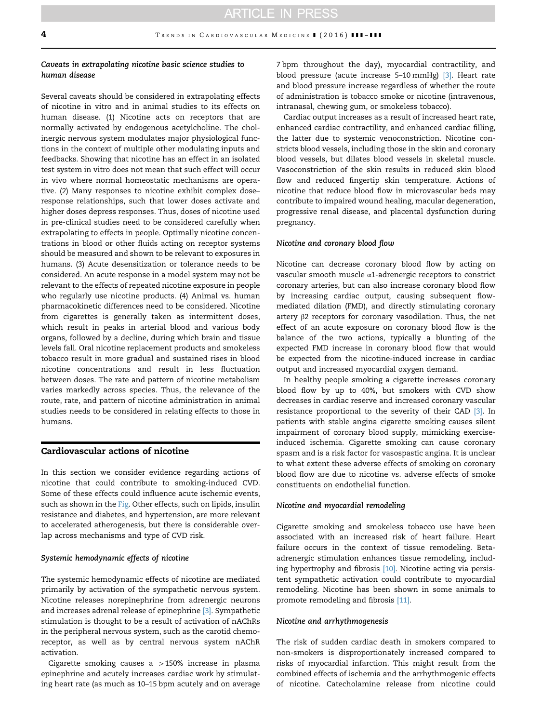# Caveats in extrapolating nicotine basic science studies to human disease

Several caveats should be considered in extrapolating effects of nicotine in vitro and in animal studies to its effects on human disease. (1) Nicotine acts on receptors that are normally activated by endogenous acetylcholine. The cholinergic nervous system modulates major physiological functions in the context of multiple other modulating inputs and feedbacks. Showing that nicotine has an effect in an isolated test system in vitro does not mean that such effect will occur in vivo where normal homeostatic mechanisms are operative. (2) Many responses to nicotine exhibit complex dose– response relationships, such that lower doses activate and higher doses depress responses. Thus, doses of nicotine used in pre-clinical studies need to be considered carefully when extrapolating to effects in people. Optimally nicotine concentrations in blood or other fluids acting on receptor systems should be measured and shown to be relevant to exposures in humans. (3) Acute desensitization or tolerance needs to be considered. An acute response in a model system may not be relevant to the effects of repeated nicotine exposure in people who regularly use nicotine products. (4) Animal vs. human pharmacokinetic differences need to be considered. Nicotine from cigarettes is generally taken as intermittent doses, which result in peaks in arterial blood and various body organs, followed by a decline, during which brain and tissue levels fall. Oral nicotine replacement products and smokeless tobacco result in more gradual and sustained rises in blood nicotine concentrations and result in less fluctuation between doses. The rate and pattern of nicotine metabolism varies markedly across species. Thus, the relevance of the route, rate, and pattern of nicotine administration in animal studies needs to be considered in relating effects to those in humans.

# Cardiovascular actions of nicotine

In this section we consider evidence regarding actions of nicotine that could contribute to smoking-induced CVD. Some of these effects could influence acute ischemic events, such as shown in the [Fig.](#page-2-0) Other effects, such on lipids, insulin resistance and diabetes, and hypertension, are more relevant to accelerated atherogenesis, but there is considerable overlap across mechanisms and type of CVD risk.

#### Systemic hemodynamic effects of nicotine

The systemic hemodynamic effects of nicotine are mediated primarily by activation of the sympathetic nervous system. Nicotine releases norepinephrine from adrenergic neurons and increases adrenal release of epinephrine [\[3\]](#page-7-0). Sympathetic stimulation is thought to be a result of activation of nAChRs in the peripheral nervous system, such as the carotid chemoreceptor, as well as by central nervous system nAChR activation.

Cigarette smoking causes a  $>150\%$  increase in plasma epinephrine and acutely increases cardiac work by stimulating heart rate (as much as 10–15 bpm acutely and on average

7 bpm throughout the day), myocardial contractility, and blood pressure (acute increase 5-10 mmHg) [\[3\].](#page-7-0) Heart rate and blood pressure increase regardless of whether the route of administration is tobacco smoke or nicotine (intravenous, intranasal, chewing gum, or smokeless tobacco).

Cardiac output increases as a result of increased heart rate, enhanced cardiac contractility, and enhanced cardiac filling, the latter due to systemic venoconstriction. Nicotine constricts blood vessels, including those in the skin and coronary blood vessels, but dilates blood vessels in skeletal muscle. Vasoconstriction of the skin results in reduced skin blood flow and reduced fingertip skin temperature. Actions of nicotine that reduce blood flow in microvascular beds may contribute to impaired wound healing, macular degeneration, progressive renal disease, and placental dysfunction during pregnancy.

#### Nicotine and coronary blood flow

Nicotine can decrease coronary blood flow by acting on vascular smooth muscle α1-adrenergic receptors to constrict coronary arteries, but can also increase coronary blood flow by increasing cardiac output, causing subsequent flowmediated dilation (FMD), and directly stimulating coronary artery β2 receptors for coronary vasodilation. Thus, the net effect of an acute exposure on coronary blood flow is the balance of the two actions, typically a blunting of the expected FMD increase in coronary blood flow that would be expected from the nicotine-induced increase in cardiac output and increased myocardial oxygen demand.

In healthy people smoking a cigarette increases coronary blood flow by up to 40%, but smokers with CVD show decreases in cardiac reserve and increased coronary vascular resistance proportional to the severity of their CAD [\[3\].](#page-7-0) In patients with stable angina cigarette smoking causes silent impairment of coronary blood supply, mimicking exerciseinduced ischemia. Cigarette smoking can cause coronary spasm and is a risk factor for vasospastic angina. It is unclear to what extent these adverse effects of smoking on coronary blood flow are due to nicotine vs. adverse effects of smoke constituents on endothelial function.

#### Nicotine and myocardial remodeling

Cigarette smoking and smokeless tobacco use have been associated with an increased risk of heart failure. Heart failure occurs in the context of tissue remodeling. Betaadrenergic stimulation enhances tissue remodeling, includ-ing hypertrophy and fibrosis [\[10\]](#page-7-0). Nicotine acting via persistent sympathetic activation could contribute to myocardial remodeling. Nicotine has been shown in some animals to promote remodeling and fibrosis [\[11\].](#page-7-0)

#### Nicotine and arrhythmogenesis

The risk of sudden cardiac death in smokers compared to non-smokers is disproportionately increased compared to risks of myocardial infarction. This might result from the combined effects of ischemia and the arrhythmogenic effects of nicotine. Catecholamine release from nicotine could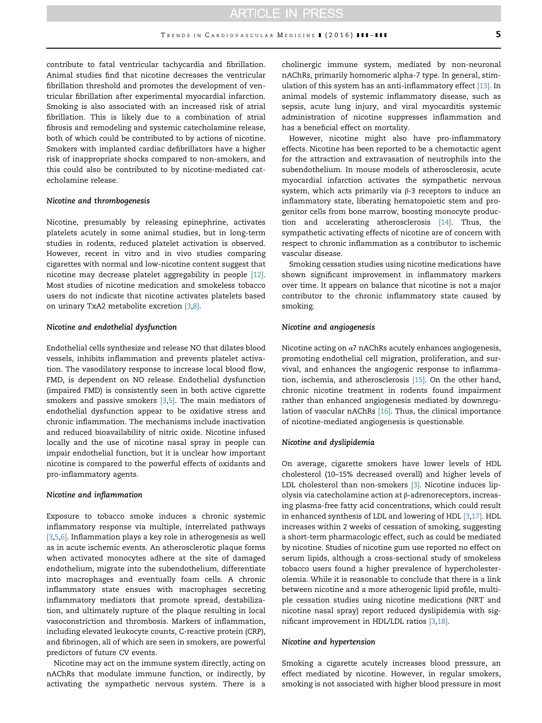contribute to fatal ventricular tachycardia and fibrillation. Animal studies find that nicotine decreases the ventricular fibrillation threshold and promotes the development of ventricular fibrillation after experimental myocardial infarction. Smoking is also associated with an increased risk of atrial fibrillation. This is likely due to a combination of atrial fibrosis and remodeling and systemic catecholamine release, both of which could be contributed to by actions of nicotine. Smokers with implanted cardiac defibrillators have a higher risk of inappropriate shocks compared to non-smokers, and this could also be contributed to by nicotine-mediated catecholamine release.

#### Nicotine and thrombogenesis

Nicotine, presumably by releasing epinephrine, activates platelets acutely in some animal studies, but in long-term studies in rodents, reduced platelet activation is observed. However, recent in vitro and in vivo studies comparing cigarettes with normal and low-nicotine content suggest that nicotine may decrease platelet aggregability in people [\[12\].](#page-7-0) Most studies of nicotine medication and smokeless tobacco users do not indicate that nicotine activates platelets based on urinary TxA2 metabolite excretion [\[3,8\]](#page-7-0).

#### Nicotine and endothelial dysfunction

Endothelial cells synthesize and release NO that dilates blood vessels, inhibits inflammation and prevents platelet activation. The vasodilatory response to increase local blood flow, FMD, is dependent on NO release. Endothelial dysfunction (impaired FMD) is consistently seen in both active cigarette smokers and passive smokers  $[3,5]$ . The main mediators of endothelial dysfunction appear to be oxidative stress and chronic inflammation. The mechanisms include inactivation and reduced bioavailability of nitric oxide. Nicotine infused locally and the use of nicotine nasal spray in people can impair endothelial function, but it is unclear how important nicotine is compared to the powerful effects of oxidants and pro-inflammatory agents.

#### Nicotine and inflammation

Exposure to tobacco smoke induces a chronic systemic inflammatory response via multiple, interrelated pathways [\[3,5](#page-7-0),[6\].](#page-7-0) Inflammation plays a key role in atherogenesis as well as in acute ischemic events. An atherosclerotic plaque forms when activated monocytes adhere at the site of damaged endothelium, migrate into the subendothelium, differentiate into macrophages and eventually foam cells. A chronic inflammatory state ensues with macrophages secreting inflammatory mediators that promote spread, destabilization, and ultimately rupture of the plaque resulting in local vasoconstriction and thrombosis. Markers of inflammation, including elevated leukocyte counts, C-reactive protein (CRP), and fibrinogen, all of which are seen in smokers, are powerful predictors of future CV events.

Nicotine may act on the immune system directly, acting on nAChRs that modulate immune function, or indirectly, by activating the sympathetic nervous system. There is a cholinergic immune system, mediated by non-neuronal nAChRs, primarily homomeric alpha-7 type. In general, stim-ulation of this system has an anti-inflammatory effect [\[13\].](#page-7-0) In animal models of systemic inflammatory disease, such as sepsis, acute lung injury, and viral myocarditis systemic administration of nicotine suppresses inflammation and has a beneficial effect on mortality.

However, nicotine might also have pro-inflammatory effects. Nicotine has been reported to be a chemotactic agent for the attraction and extravasation of neutrophils into the subendothelium. In mouse models of atherosclerosis, acute myocardial infarction activates the sympathetic nervous system, which acts primarily via β-3 receptors to induce an inflammatory state, liberating hematopoietic stem and progenitor cells from bone marrow, boosting monocyte production and accelerating atherosclerosis [\[14\].](#page-7-0) Thus, the sympathetic activating effects of nicotine are of concern with respect to chronic inflammation as a contributor to ischemic vascular disease.

Smoking cessation studies using nicotine medications have shown significant improvement in inflammatory markers over time. It appears on balance that nicotine is not a major contributor to the chronic inflammatory state caused by smoking.

#### Nicotine and angiogenesis

Nicotine acting on α7 nAChRs acutely enhances angiogenesis, promoting endothelial cell migration, proliferation, and survival, and enhances the angiogenic response to inflammation, ischemia, and atherosclerosis [\[15\].](#page-7-0) On the other hand, chronic nicotine treatment in rodents found impairment rather than enhanced angiogenesis mediated by downregulation of vascular nAChRs [\[16\]](#page-7-0). Thus, the clinical importance of nicotine-mediated angiogenesis is questionable.

#### Nicotine and dyslipidemia

On average, cigarette smokers have lower levels of HDL cholesterol (10–15% decreased overall) and higher levels of LDL cholesterol than non-smokers [\[3\].](#page-7-0) Nicotine induces lipolysis via catecholamine action at β-adrenoreceptors, increasing plasma-free fatty acid concentrations, which could result in enhanced synthesis of LDL and lowering of HDL [\[3,17\]](#page-7-0). HDL increases within 2 weeks of cessation of smoking, suggesting a short-term pharmacologic effect, such as could be mediated by nicotine. Studies of nicotine gum use reported no effect on serum lipids, although a cross-sectional study of smokeless tobacco users found a higher prevalence of hypercholesterolemia. While it is reasonable to conclude that there is a link between nicotine and a more atherogenic lipid profile, multiple cessation studies using nicotine medications (NRT and nicotine nasal spray) report reduced dyslipidemia with significant improvement in HDL/LDL ratios [\[3,18\].](#page-7-0)

#### Nicotine and hypertension

Smoking a cigarette acutely increases blood pressure, an effect mediated by nicotine. However, in regular smokers, smoking is not associated with higher blood pressure in most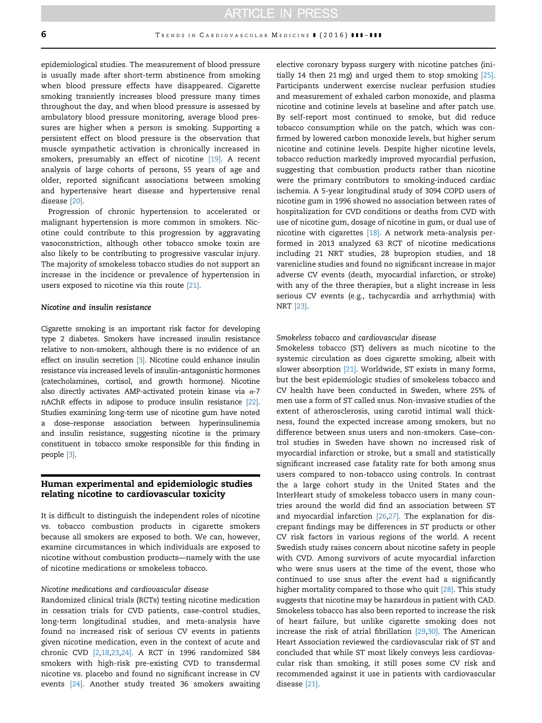epidemiological studies. The measurement of blood pressure is usually made after short-term abstinence from smoking when blood pressure effects have disappeared. Cigarette smoking transiently increases blood pressure many times throughout the day, and when blood pressure is assessed by ambulatory blood pressure monitoring, average blood pressures are higher when a person is smoking. Supporting a persistent effect on blood pressure is the observation that muscle sympathetic activation is chronically increased in smokers, presumably an effect of nicotine [\[19\]](#page-7-0). A recent analysis of large cohorts of persons, 55 years of age and older, reported significant associations between smoking and hypertensive heart disease and hypertensive renal disease [\[20\]](#page-7-0).

Progression of chronic hypertension to accelerated or malignant hypertension is more common in smokers. Nicotine could contribute to this progression by aggravating vasoconstriction, although other tobacco smoke toxin are also likely to be contributing to progressive vascular injury. The majority of smokeless tobacco studies do not support an increase in the incidence or prevalence of hypertension in users exposed to nicotine via this route [\[21\]](#page-7-0).

#### Nicotine and insulin resistance

Cigarette smoking is an important risk factor for developing type 2 diabetes. Smokers have increased insulin resistance relative to non-smokers, although there is no evidence of an effect on insulin secretion [\[3\].](#page-7-0) Nicotine could enhance insulin resistance via increased levels of insulin-antagonistic hormones (catecholamines, cortisol, and growth hormone). Nicotine also directly activates AMP-activated protein kinase via  $\alpha$ -7 nAChR effects in adipose to produce insulin resistance [\[22\].](#page-7-0) Studies examining long-term use of nicotine gum have noted a dose–response association between hyperinsulinemia and insulin resistance, suggesting nicotine is the primary constituent in tobacco smoke responsible for this finding in people [\[3\].](#page-7-0)

# Human experimental and epidemiologic studies relating nicotine to cardiovascular toxicity

It is difficult to distinguish the independent roles of nicotine vs. tobacco combustion products in cigarette smokers because all smokers are exposed to both. We can, however, examine circumstances in which individuals are exposed to nicotine without combustion products—namely with the use of nicotine medications or smokeless tobacco.

#### Nicotine medications and cardiovascular disease

Randomized clinical trials (RCTs) testing nicotine medication in cessation trials for CVD patients, case–control studies, long-term longitudinal studies, and meta-analysis have found no increased risk of serious CV events in patients given nicotine medication, even in the context of acute and chronic CVD [\[2,18,23,24\]](#page-7-0). A RCT in 1996 randomized 584 smokers with high-risk pre-existing CVD to transdermal nicotine vs. placebo and found no significant increase in CV events [\[24\]](#page-7-0). Another study treated 36 smokers awaiting elective coronary bypass surgery with nicotine patches (initially 14 then 21 mg) and urged them to stop smoking [\[25\].](#page-7-0) Participants underwent exercise nuclear perfusion studies and measurement of exhaled carbon monoxide, and plasma nicotine and cotinine levels at baseline and after patch use. By self-report most continued to smoke, but did reduce tobacco consumption while on the patch, which was confirmed by lowered carbon monoxide levels, but higher serum nicotine and cotinine levels. Despite higher nicotine levels, tobacco reduction markedly improved myocardial perfusion, suggesting that combustion products rather than nicotine were the primary contributors to smoking-induced cardiac ischemia. A 5-year longitudinal study of 3094 COPD users of nicotine gum in 1996 showed no association between rates of hospitalization for CVD conditions or deaths from CVD with use of nicotine gum, dosage of nicotine in gum, or dual use of nicotine with cigarettes [\[18\].](#page-7-0) A network meta-analysis performed in 2013 analyzed 63 RCT of nicotine medications including 21 NRT studies, 28 bupropion studies, and 18 varenicline studies and found no significant increase in major adverse CV events (death, myocardial infarction, or stroke) with any of the three therapies, but a slight increase in less serious CV events (e.g., tachycardia and arrhythmia) with NRT [\[23\]](#page-7-0).

## Smokeless tobacco and cardiovascular disease

Smokeless tobacco (ST) delivers as much nicotine to the systemic circulation as does cigarette smoking, albeit with slower absorption [\[21\]](#page-7-0). Worldwide, ST exists in many forms, but the best epidemiologic studies of smokeless tobacco and CV health have been conducted in Sweden, where 25% of men use a form of ST called snus. Non-invasive studies of the extent of atherosclerosis, using carotid intimal wall thickness, found the expected increase among smokers, but no difference between snus users and non-smokers. Case–control studies in Sweden have shown no increased risk of myocardial infarction or stroke, but a small and statistically significant increased case fatality rate for both among snus users compared to non-tobacco using controls. In contrast the a large cohort study in the United States and the InterHeart study of smokeless tobacco users in many countries around the world did find an association between ST and myocardial infarction [\[26,27\]](#page-7-0). The explanation for discrepant findings may be differences in ST products or other CV risk factors in various regions of the world. A recent Swedish study raises concern about nicotine safety in people with CVD. Among survivors of acute myocardial infarction who were snus users at the time of the event, those who continued to use snus after the event had a significantly higher mortality compared to those who quit [\[28\].](#page-7-0) This study suggests that nicotine may be hazardous in patient with CAD. Smokeless tobacco has also been reported to increase the risk of heart failure, but unlike cigarette smoking does not increase the risk of atrial fibrillation [\[29](#page-7-0),[30\].](#page-7-0) The American Heart Association reviewed the cardiovascular risk of ST and concluded that while ST most likely conveys less cardiovascular risk than smoking, it still poses some CV risk and recommended against it use in patients with cardiovascular disease [\[21\]](#page-7-0).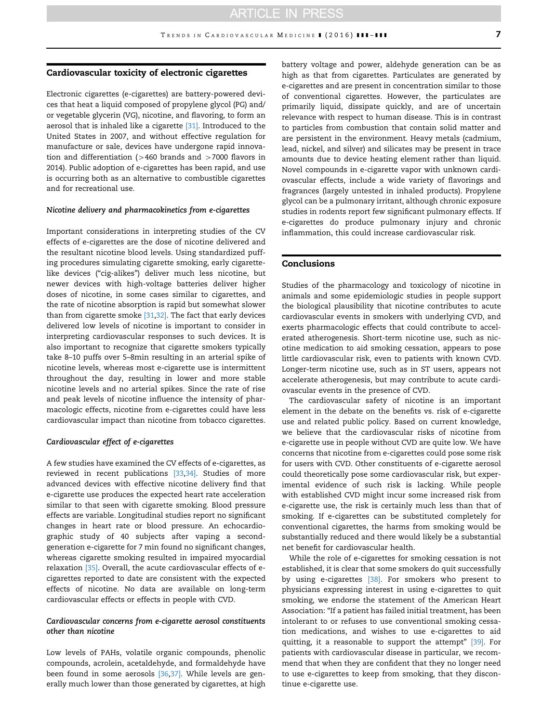## Cardiovascular toxicity of electronic cigarettes

Electronic cigarettes (e-cigarettes) are battery-powered devices that heat a liquid composed of propylene glycol (PG) and/ or vegetable glycerin (VG), nicotine, and flavoring, to form an aerosol that is inhaled like a cigarette [\[31\]](#page-7-0). Introduced to the United States in 2007, and without effective regulation for manufacture or sale, devices have undergone rapid innovation and differentiation ( $>460$  brands and  $>7000$  flavors in 2014). Public adoption of e-cigarettes has been rapid, and use is occurring both as an alternative to combustible cigarettes and for recreational use.

#### Nicotine delivery and pharmacokinetics from e-cigarettes

Important considerations in interpreting studies of the CV effects of e-cigarettes are the dose of nicotine delivered and the resultant nicotine blood levels. Using standardized puffing procedures simulating cigarette smoking, early cigarettelike devices ("cig-alikes") deliver much less nicotine, but newer devices with high-voltage batteries deliver higher doses of nicotine, in some cases similar to cigarettes, and the rate of nicotine absorption is rapid but somewhat slower than from cigarette smoke  $[31,32]$ . The fact that early devices delivered low levels of nicotine is important to consider in interpreting cardiovascular responses to such devices. It is also important to recognize that cigarette smokers typically take 8–10 puffs over 5–8min resulting in an arterial spike of nicotine levels, whereas most e-cigarette use is intermittent throughout the day, resulting in lower and more stable nicotine levels and no arterial spikes. Since the rate of rise and peak levels of nicotine influence the intensity of pharmacologic effects, nicotine from e-cigarettes could have less cardiovascular impact than nicotine from tobacco cigarettes.

#### Cardiovascular effect of e-cigarettes

A few studies have examined the CV effects of e-cigarettes, as reviewed in recent publications [\[33,34\].](#page-7-0) Studies of more advanced devices with effective nicotine delivery find that e-cigarette use produces the expected heart rate acceleration similar to that seen with cigarette smoking. Blood pressure effects are variable. Longitudinal studies report no significant changes in heart rate or blood pressure. An echocardiographic study of 40 subjects after vaping a secondgeneration e-cigarette for 7 min found no significant changes, whereas cigarette smoking resulted in impaired myocardial relaxation [\[35\]](#page-7-0). Overall, the acute cardiovascular effects of ecigarettes reported to date are consistent with the expected effects of nicotine. No data are available on long-term cardiovascular effects or effects in people with CVD.

#### Cardiovascular concerns from e-cigarette aerosol constituents other than nicotine

Low levels of PAHs, volatile organic compounds, phenolic compounds, acrolein, acetaldehyde, and formaldehyde have been found in some aerosols [\[36,](#page-7-0)[37\]](#page-8-0). While levels are generally much lower than those generated by cigarettes, at high

battery voltage and power, aldehyde generation can be as high as that from cigarettes. Particulates are generated by e-cigarettes and are present in concentration similar to those of conventional cigarettes. However, the particulates are primarily liquid, dissipate quickly, and are of uncertain relevance with respect to human disease. This is in contrast to particles from combustion that contain solid matter and are persistent in the environment. Heavy metals (cadmium, lead, nickel, and silver) and silicates may be present in trace amounts due to device heating element rather than liquid. Novel compounds in e-cigarette vapor with unknown cardiovascular effects, include a wide variety of flavorings and fragrances (largely untested in inhaled products). Propylene glycol can be a pulmonary irritant, although chronic exposure studies in rodents report few significant pulmonary effects. If e-cigarettes do produce pulmonary injury and chronic inflammation, this could increase cardiovascular risk.

#### Conclusions

Studies of the pharmacology and toxicology of nicotine in animals and some epidemiologic studies in people support the biological plausibility that nicotine contributes to acute cardiovascular events in smokers with underlying CVD, and exerts pharmacologic effects that could contribute to accelerated atherogenesis. Short-term nicotine use, such as nicotine medication to aid smoking cessation, appears to pose little cardiovascular risk, even to patients with known CVD. Longer-term nicotine use, such as in ST users, appears not accelerate atherogenesis, but may contribute to acute cardiovascular events in the presence of CVD.

The cardiovascular safety of nicotine is an important element in the debate on the benefits vs. risk of e-cigarette use and related public policy. Based on current knowledge, we believe that the cardiovascular risks of nicotine from e-cigarette use in people without CVD are quite low. We have concerns that nicotine from e-cigarettes could pose some risk for users with CVD. Other constituents of e-cigarette aerosol could theoretically pose some cardiovascular risk, but experimental evidence of such risk is lacking. While people with established CVD might incur some increased risk from e-cigarette use, the risk is certainly much less than that of smoking. If e-cigarettes can be substituted completely for conventional cigarettes, the harms from smoking would be substantially reduced and there would likely be a substantial net benefit for cardiovascular health.

While the role of e-cigarettes for smoking cessation is not established, it is clear that some smokers do quit successfully by using e-cigarettes [\[38\].](#page-8-0) For smokers who present to physicians expressing interest in using e-cigarettes to quit smoking, we endorse the statement of the American Heart Association: "If a patient has failed initial treatment, has been intolerant to or refuses to use conventional smoking cessation medications, and wishes to use e-cigarettes to aid quitting, it a reasonable to support the attempt" [\[39\].](#page-8-0) For patients with cardiovascular disease in particular, we recommend that when they are confident that they no longer need to use e-cigarettes to keep from smoking, that they discontinue e-cigarette use.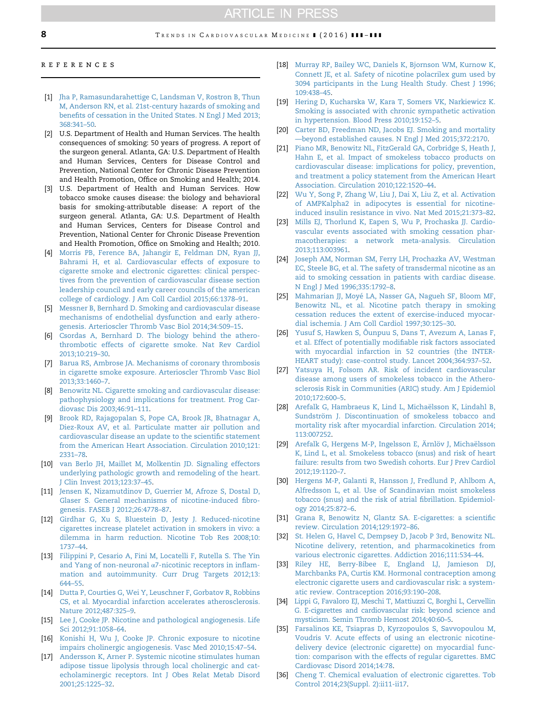# **ARTICLE IN PRESS**

#### <span id="page-7-0"></span>references

- [1] [Jha P, Ramasundarahettige C, Landsman V, Rostron B, Thun](http://refhub.elsevier.com/S1050-1738(16)00053-0/sbref1) [M, Anderson RN, et al. 21st-century hazards of smoking and](http://refhub.elsevier.com/S1050-1738(16)00053-0/sbref1) benefi[ts of cessation in the United States. N Engl J Med 2013;](http://refhub.elsevier.com/S1050-1738(16)00053-0/sbref1) [368:341](http://refhub.elsevier.com/S1050-1738(16)00053-0/sbref1)–50.
- [2] U.S. Department of Health and Human Services. The health consequences of smoking: 50 years of progress. A report of the surgeon general. Atlanta, GA: U.S. Department of Health and Human Services, Centers for Disease Control and Prevention, National Center for Chronic Disease Prevention and Health Promotion, Office on Smoking and Health; 2014.
- [3] U.S. Department of Health and Human Services. How tobacco smoke causes disease: the biology and behavioral basis for smoking-attributable disease: A report of the surgeon general. Atlanta, GA: U.S. Department of Health and Human Services, Centers for Disease Control and Prevention, National Center for Chronic Disease Prevention and Health Promotion, Office on Smoking and Health; 2010.
- [4] [Morris PB, Ference BA, Jahangir E, Feldman DN, Ryan JJ,](http://refhub.elsevier.com/S1050-1738(16)00053-0/sbref2) [Bahrami H, et al. Cardiovascular effects of exposure to](http://refhub.elsevier.com/S1050-1738(16)00053-0/sbref2) [cigarette smoke and electronic cigarettes: clinical perspec](http://refhub.elsevier.com/S1050-1738(16)00053-0/sbref2)[tives from the prevention of cardiovascular disease section](http://refhub.elsevier.com/S1050-1738(16)00053-0/sbref2) [leadership council and early career councils of the american](http://refhub.elsevier.com/S1050-1738(16)00053-0/sbref2) [college of cardiology. J Am Coll Cardiol 2015;66:1378](http://refhub.elsevier.com/S1050-1738(16)00053-0/sbref2)–91.
- [5] [Messner B, Bernhard D. Smoking and cardiovascular disease](http://refhub.elsevier.com/S1050-1738(16)00053-0/sbref3) [mechanisms of endothelial dysfunction and early athero](http://refhub.elsevier.com/S1050-1738(16)00053-0/sbref3)[genesis. Arterioscler Thromb Vasc Biol 2014;34:509](http://refhub.elsevier.com/S1050-1738(16)00053-0/sbref3)–15.
- [6] [Csordas A, Bernhard D. The biology behind the athero](http://refhub.elsevier.com/S1050-1738(16)00053-0/sbref4)[thrombotic effects of cigarette smoke. Nat Rev Cardiol](http://refhub.elsevier.com/S1050-1738(16)00053-0/sbref4) [2013;10:219](http://refhub.elsevier.com/S1050-1738(16)00053-0/sbref4)–30.
- [7] [Barua RS, Ambrose JA. Mechanisms of coronary thrombosis](http://refhub.elsevier.com/S1050-1738(16)00053-0/sbref5) [in cigarette smoke exposure. Arterioscler Thromb Vasc Biol](http://refhub.elsevier.com/S1050-1738(16)00053-0/sbref5) [2013;33:1460](http://refhub.elsevier.com/S1050-1738(16)00053-0/sbref5)–7.
- [8] [Benowitz NL. Cigarette smoking and cardiovascular disease:](http://refhub.elsevier.com/S1050-1738(16)00053-0/sbref6) [pathophysiology and implications for treatment. Prog Car](http://refhub.elsevier.com/S1050-1738(16)00053-0/sbref6)[diovasc Dis 2003;46:91](http://refhub.elsevier.com/S1050-1738(16)00053-0/sbref6)–111.
- [9] [Brook RD, Rajagopalan S, Pope CA, Brook JR, Bhatnagar A,](http://refhub.elsevier.com/S1050-1738(16)00053-0/sbref7) [Diez-Roux AV, et al. Particulate matter air pollution and](http://refhub.elsevier.com/S1050-1738(16)00053-0/sbref7) [cardiovascular disease an update to the scienti](http://refhub.elsevier.com/S1050-1738(16)00053-0/sbref7)fic statement [from the American Heart Association. Circulation 2010;121:](http://refhub.elsevier.com/S1050-1738(16)00053-0/sbref7) [2331](http://refhub.elsevier.com/S1050-1738(16)00053-0/sbref7)–78.
- [10] [van Berlo JH, Maillet M, Molkentin JD. Signaling effectors](http://refhub.elsevier.com/S1050-1738(16)00053-0/sbref8) [underlying pathologic growth and remodeling of the heart.](http://refhub.elsevier.com/S1050-1738(16)00053-0/sbref8) [J Clin Invest 2013;123:37](http://refhub.elsevier.com/S1050-1738(16)00053-0/sbref8)–45.
- [11] [Jensen K, Nizamutdinov D, Guerrier M, Afroze S, Dostal D,](http://refhub.elsevier.com/S1050-1738(16)00053-0/sbref9) [Glaser S. General mechanisms of nicotine-induced](http://refhub.elsevier.com/S1050-1738(16)00053-0/sbref9) fibro[genesis. FASEB J 2012;26:4778](http://refhub.elsevier.com/S1050-1738(16)00053-0/sbref9)–87.
- [12] [Girdhar G, Xu S, Bluestein D, Jesty J. Reduced-nicotine](http://refhub.elsevier.com/S1050-1738(16)00053-0/sbref10) [cigarettes increase platelet activation in smokers in vivo: a](http://refhub.elsevier.com/S1050-1738(16)00053-0/sbref10) [dilemma in harm reduction. Nicotine Tob Res 2008;10:](http://refhub.elsevier.com/S1050-1738(16)00053-0/sbref10) [1737](http://refhub.elsevier.com/S1050-1738(16)00053-0/sbref10)–44.
- [13] [Filippini P, Cesario A, Fini M, Locatelli F, Rutella S. The Yin](http://refhub.elsevier.com/S1050-1738(16)00053-0/sbref11) [and Yang of non-neuronal](http://refhub.elsevier.com/S1050-1738(16)00053-0/sbref11) α7-nicotinic receptors in inflam[mation and autoimmunity. Curr Drug Targets 2012;13:](http://refhub.elsevier.com/S1050-1738(16)00053-0/sbref11) [644](http://refhub.elsevier.com/S1050-1738(16)00053-0/sbref11)–55.
- [14] [Dutta P, Courties G, Wei Y, Leuschner F, Gorbatov R, Robbins](http://refhub.elsevier.com/S1050-1738(16)00053-0/sbref12) [CS, et al. Myocardial infarction accelerates atherosclerosis.](http://refhub.elsevier.com/S1050-1738(16)00053-0/sbref12) [Nature 2012;487:325](http://refhub.elsevier.com/S1050-1738(16)00053-0/sbref12)–9.
- [15] [Lee J, Cooke JP. Nicotine and pathological angiogenesis. Life](http://refhub.elsevier.com/S1050-1738(16)00053-0/sbref13) [Sci 2012;91:1058](http://refhub.elsevier.com/S1050-1738(16)00053-0/sbref13)–64.
- [16] [Konishi H, Wu J, Cooke JP. Chronic exposure to nicotine](http://refhub.elsevier.com/S1050-1738(16)00053-0/sbref14) [impairs cholinergic angiogenesis. Vasc Med 2010;15:47](http://refhub.elsevier.com/S1050-1738(16)00053-0/sbref14)–54.
- [17] [Andersson K, Arner P. Systemic nicotine stimulates human](http://refhub.elsevier.com/S1050-1738(16)00053-0/sbref15) [adipose tissue lipolysis through local cholinergic and cat](http://refhub.elsevier.com/S1050-1738(16)00053-0/sbref15)[echolaminergic receptors. Int J Obes Relat Metab Disord](http://refhub.elsevier.com/S1050-1738(16)00053-0/sbref15) [2001;25:1225](http://refhub.elsevier.com/S1050-1738(16)00053-0/sbref15)–32.
- [18] [Murray RP, Bailey WC, Daniels K, Bjornson WM, Kurnow K,](http://refhub.elsevier.com/S1050-1738(16)00053-0/sbref16) [Connett JE, et al. Safety of nicotine polacrilex gum used by](http://refhub.elsevier.com/S1050-1738(16)00053-0/sbref16) [3094 participants in the Lung Health Study. Chest J 1996;](http://refhub.elsevier.com/S1050-1738(16)00053-0/sbref16) [109:438](http://refhub.elsevier.com/S1050-1738(16)00053-0/sbref16)–45.
- [19] [Hering D, Kucharska W, Kara T, Somers VK, Narkiewicz K.](http://refhub.elsevier.com/S1050-1738(16)00053-0/sbref17) [Smoking is associated with chronic sympathetic activation](http://refhub.elsevier.com/S1050-1738(16)00053-0/sbref17) [in hypertension. Blood Press 2010;19:152](http://refhub.elsevier.com/S1050-1738(16)00053-0/sbref17)–5.
- [20] [Carter BD, Freedman ND, Jacobs EJ. Smoking and mortality](http://refhub.elsevier.com/S1050-1738(16)00053-0/sbref18) —[beyond established causes. N Engl J Med 2015;372:2170.](http://refhub.elsevier.com/S1050-1738(16)00053-0/sbref18)
- [21] [Piano MR, Benowitz NL, FitzGerald GA, Corbridge S, Heath J,](http://refhub.elsevier.com/S1050-1738(16)00053-0/sbref19) [Hahn E, et al. Impact of smokeless tobacco products on](http://refhub.elsevier.com/S1050-1738(16)00053-0/sbref19) [cardiovascular disease: implications for policy, prevention,](http://refhub.elsevier.com/S1050-1738(16)00053-0/sbref19) [and treatment a policy statement from the American Heart](http://refhub.elsevier.com/S1050-1738(16)00053-0/sbref19) [Association. Circulation 2010;122:1520](http://refhub.elsevier.com/S1050-1738(16)00053-0/sbref19)–44.
- [22] [Wu Y, Song P, Zhang W, Liu J, Dai X, Liu Z, et al. Activation](http://refhub.elsevier.com/S1050-1738(16)00053-0/sbref20) [of AMPKalpha2 in adipocytes is essential for nicotine](http://refhub.elsevier.com/S1050-1738(16)00053-0/sbref20)[induced insulin resistance in vivo. Nat Med 2015;21:373](http://refhub.elsevier.com/S1050-1738(16)00053-0/sbref20)–82.
- [23] [Mills EJ, Thorlund K, Eapen S, Wu P, Prochaska JJ. Cardio](http://refhub.elsevier.com/S1050-1738(16)00053-0/sbref21)[vascular events associated with smoking cessation phar](http://refhub.elsevier.com/S1050-1738(16)00053-0/sbref21)[macotherapies: a network meta-analysis. Circulation](http://refhub.elsevier.com/S1050-1738(16)00053-0/sbref21) [2013;113:003961.](http://refhub.elsevier.com/S1050-1738(16)00053-0/sbref21)
- [24] [Joseph AM, Norman SM, Ferry LH, Prochazka AV, Westman](http://refhub.elsevier.com/S1050-1738(16)00053-0/sbref22) [EC, Steele BG, et al. The safety of transdermal nicotine as an](http://refhub.elsevier.com/S1050-1738(16)00053-0/sbref22) [aid to smoking cessation in patients with cardiac disease.](http://refhub.elsevier.com/S1050-1738(16)00053-0/sbref22) [N Engl J Med 1996;335:1792](http://refhub.elsevier.com/S1050-1738(16)00053-0/sbref22)–8.
- [25] [Mahmarian JJ, Moyé LA, Nasser GA, Nagueh SF, Bloom MF,](http://refhub.elsevier.com/S1050-1738(16)00053-0/sbref23) [Benowitz NL, et al. Nicotine patch therapy in smoking](http://refhub.elsevier.com/S1050-1738(16)00053-0/sbref23) [cessation reduces the extent of exercise-induced myocar](http://refhub.elsevier.com/S1050-1738(16)00053-0/sbref23)[dial ischemia. J Am Coll Cardiol 1997;30:125](http://refhub.elsevier.com/S1050-1738(16)00053-0/sbref23)–30.
- [26] [Yusuf S, Hawken S, Ôunpuu S, Dans T, Avezum A, Lanas F,](http://refhub.elsevier.com/S1050-1738(16)00053-0/sbref24) [et al. Effect of potentially modi](http://refhub.elsevier.com/S1050-1738(16)00053-0/sbref24)fiable risk factors associated [with myocardial infarction in 52 countries \(the INTER-](http://refhub.elsevier.com/S1050-1738(16)00053-0/sbref24)[HEART study\): case-control study. Lancet 2004;364:937](http://refhub.elsevier.com/S1050-1738(16)00053-0/sbref24)–52.
- [27] [Yatsuya H, Folsom AR. Risk of incident cardiovascular](http://refhub.elsevier.com/S1050-1738(16)00053-0/sbref25) [disease among users of smokeless tobacco in the Athero](http://refhub.elsevier.com/S1050-1738(16)00053-0/sbref25)[sclerosis Risk in Communities \(ARIC\) study. Am J Epidemiol](http://refhub.elsevier.com/S1050-1738(16)00053-0/sbref25) [2010;172:600](http://refhub.elsevier.com/S1050-1738(16)00053-0/sbref25)–5.
- [28] [Arefalk G, Hambraeus K, Lind L, Michaëlsson K, Lindahl B,](http://refhub.elsevier.com/S1050-1738(16)00053-0/sbref26) [Sundström J. Discontinuation of smokeless tobacco and](http://refhub.elsevier.com/S1050-1738(16)00053-0/sbref26) [mortality risk after myocardial infarction. Circulation 2014;](http://refhub.elsevier.com/S1050-1738(16)00053-0/sbref26) [113:007252.](http://refhub.elsevier.com/S1050-1738(16)00053-0/sbref26)
- [29] [Arefalk G, Hergens M-P, Ingelsson E, Ärnlöv J, Michaëlsson](http://refhub.elsevier.com/S1050-1738(16)00053-0/sbref27) [K, Lind L, et al. Smokeless tobacco \(snus\) and risk of heart](http://refhub.elsevier.com/S1050-1738(16)00053-0/sbref27) [failure: results from two Swedish cohorts. Eur J Prev Cardiol](http://refhub.elsevier.com/S1050-1738(16)00053-0/sbref27) [2012;19:1120](http://refhub.elsevier.com/S1050-1738(16)00053-0/sbref27)–7.
- [30] [Hergens M-P, Galanti R, Hansson J, Fredlund P, Ahlbom A,](http://refhub.elsevier.com/S1050-1738(16)00053-0/sbref28) [Alfredsson L, et al. Use of Scandinavian moist smokeless](http://refhub.elsevier.com/S1050-1738(16)00053-0/sbref28) [tobacco \(snus\) and the risk of atrial](http://refhub.elsevier.com/S1050-1738(16)00053-0/sbref28) fibrillation. Epidemiol[ogy 2014;25:872](http://refhub.elsevier.com/S1050-1738(16)00053-0/sbref28)–6.
- [31] [Grana R, Benowitz N, Glantz SA. E-cigarettes: a scienti](http://refhub.elsevier.com/S1050-1738(16)00053-0/sbref29)fic [review. Circulation 2014;129:1972](http://refhub.elsevier.com/S1050-1738(16)00053-0/sbref29)–86.
- [32] [St. Helen G, Havel C, Dempsey D, Jacob P 3rd, Benowitz NL.](http://refhub.elsevier.com/S1050-1738(16)00053-0/sbref30) [Nicotine delivery, retention, and pharmacokinetics from](http://refhub.elsevier.com/S1050-1738(16)00053-0/sbref30) [various electronic cigarettes. Addiction 2016;111:534](http://refhub.elsevier.com/S1050-1738(16)00053-0/sbref30)–44.
- [33] [Riley HE, Berry-Bibee E, England LJ, Jamieson DJ,](http://refhub.elsevier.com/S1050-1738(16)00053-0/sbref31) [Marchbanks PA, Curtis KM. Hormonal contraception among](http://refhub.elsevier.com/S1050-1738(16)00053-0/sbref31) [electronic cigarette users and cardiovascular risk: a system](http://refhub.elsevier.com/S1050-1738(16)00053-0/sbref31)[atic review. Contraception 2016;93:190](http://refhub.elsevier.com/S1050-1738(16)00053-0/sbref31)–208.
- [34] [Lippi G, Favaloro EJ, Meschi T, Mattiuzzi C, Borghi L, Cervellin](http://refhub.elsevier.com/S1050-1738(16)00053-0/sbref32) [G. E-cigarettes and cardiovascular risk: beyond science and](http://refhub.elsevier.com/S1050-1738(16)00053-0/sbref32) [mysticism. Semin Thromb Hemost 2014;40:60](http://refhub.elsevier.com/S1050-1738(16)00053-0/sbref32)–5.
- [35] [Farsalinos KE, Tsiapras D, Kyrzopoulos S, Savvopoulou M,](http://refhub.elsevier.com/S1050-1738(16)00053-0/sbref33) [Voudris V. Acute effects of using an electronic nicotine](http://refhub.elsevier.com/S1050-1738(16)00053-0/sbref33)[delivery device \(electronic cigarette\) on myocardial func](http://refhub.elsevier.com/S1050-1738(16)00053-0/sbref33)[tion: comparison with the effects of regular cigarettes. BMC](http://refhub.elsevier.com/S1050-1738(16)00053-0/sbref33) [Cardiovasc Disord 2014;14:78.](http://refhub.elsevier.com/S1050-1738(16)00053-0/sbref33)
- [36] [Cheng T. Chemical evaluation of electronic cigarettes. Tob](http://refhub.elsevier.com/S1050-1738(16)00053-0/sbref34) [Control 2014;23\(Suppl. 2\):ii11-ii17.](http://refhub.elsevier.com/S1050-1738(16)00053-0/sbref34)